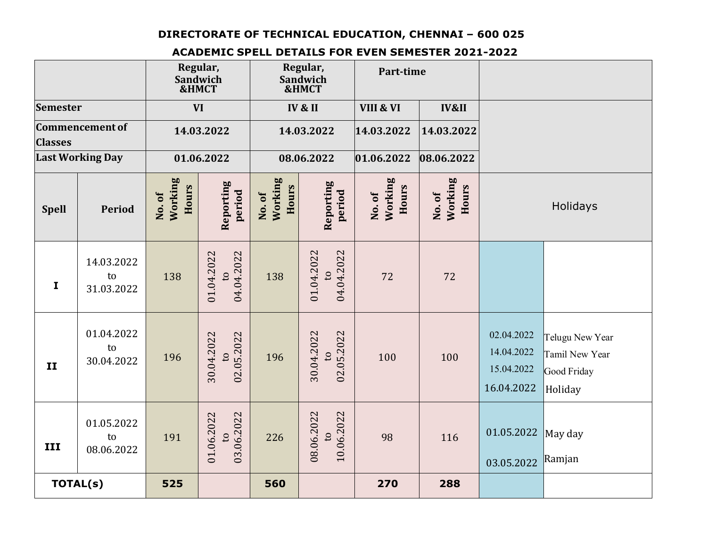## **DIRECTORATE OF TECHNICAL EDUCATION, CHENNAI – 600 025**

## **ACADEMIC SPELL DETAILS FOR EVEN SEMESTER 2021-2022**

|                                          |                                | Regular,<br>Sandwich<br>&HMCT<br><b>VI</b> |                                            | Regular,<br>Sandwich<br>&HMCT<br>IV & II |                                            | Part-time                     |                                  |                                                      |                                                             |
|------------------------------------------|--------------------------------|--------------------------------------------|--------------------------------------------|------------------------------------------|--------------------------------------------|-------------------------------|----------------------------------|------------------------------------------------------|-------------------------------------------------------------|
| <b>Semester</b>                          |                                |                                            |                                            |                                          |                                            | VIII & VI<br><b>IV&amp;II</b> |                                  |                                                      |                                                             |
| <b>Commencement of</b><br><b>Classes</b> |                                | 14.03.2022                                 |                                            | 14.03.2022                               |                                            | 14.03.2022                    | 14.03.2022                       |                                                      |                                                             |
| <b>Last Working Day</b>                  |                                | 01.06.2022                                 |                                            | 08.06.2022                               |                                            | 01.06.2022                    | 08.06.2022                       |                                                      |                                                             |
| <b>Spell</b>                             | <b>Period</b>                  | Working<br>Hours<br>No.of                  | Reporting<br>period                        | Working<br>Hours<br>No.of                | Reporting<br>period                        | Working<br>Hours<br>No.of     | Working<br><b>Hours</b><br>No.of | Holidays                                             |                                                             |
| $\mathbf{I}$                             | 14.03.2022<br>to<br>31.03.2022 | 138                                        | 04.04.2022<br>01.04.2022<br>$\mathbf{c}$   | 138                                      | 01.04.2022<br>04.04.2022<br>$\overline{a}$ | 72                            | 72                               |                                                      |                                                             |
| II                                       | 01.04.2022<br>to<br>30.04.2022 | 196                                        | 02.05.2022<br>30.04.2022<br>$\mathbf{c}$   | 196                                      | 30.04.2022<br>02.05.2022<br>$\overline{c}$ | 100                           | 100                              | 02.04.2022<br>14.04.2022<br>15.04.2022<br>16.04.2022 | Telugu New Year<br>Tamil New Year<br>Good Friday<br>Holiday |
| III                                      | 01.05.2022<br>to<br>08.06.2022 | 191                                        | 03.06.2022<br>01.06.2022<br>$\overline{c}$ | 226                                      | 08.06.2022<br>10.06.2022<br>$\overline{c}$ | 98                            | 116                              | 01.05.2022<br>03.05.2022                             | May day<br>Ramjan                                           |
| TOTAL(s)                                 |                                | 525                                        |                                            | 560                                      |                                            | 270                           | 288                              |                                                      |                                                             |